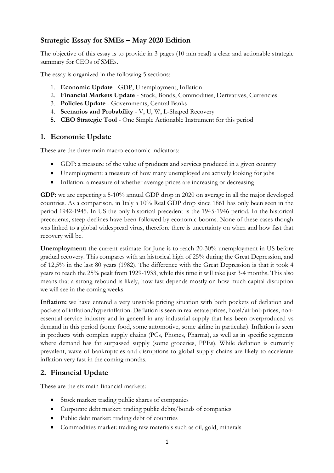## **Strategic Essay for SMEs – May 2020 Edition**

The objective of this essay is to provide in 3 pages (10 min read) a clear and actionable strategic summary for CEOs of SMEs.

The essay is organized in the following 5 sections:

- 1. **Economic Update** GDP, Unemployment, Inflation
- 2. **Financial Markets Update** Stock, Bonds, Commodities, Derivatives, Currencies
- 3. **Policies Update** Governments, Central Banks
- 4. **Scenarios and Probability** V, U, W, L-Shaped Recovery
- **5. CEO Strategic Tool**  One Simple Actionable Instrument for this period

#### **1. Economic Update**

These are the three main macro-economic indicators:

- GDP: a measure of the value of products and services produced in a given country
- Unemployment: a measure of how many unemployed are actively looking for jobs
- Inflation: a measure of whether average prices are increasing or decreasing

**GDP:** we are expecting a 5-10% annual GDP drop in 2020 on average in all the major developed countries. As a comparison, in Italy a 10% Real GDP drop since 1861 has only been seen in the period 1942-1945. In US the only historical precedent is the 1945-1946 period. In the historical precedents, steep declines have been followed by economic booms. None of these cases though was linked to a global widespread virus, therefore there is uncertainty on when and how fast that recovery will be.

**Unemployment:** the current estimate for June is to reach 20-30% unemployment in US before gradual recovery. This compares with an historical high of 25% during the Great Depression, and of 12,5% in the last 80 years (1982). The difference with the Great Depression is that it took 4 years to reach the 25% peak from 1929-1933, while this time it will take just 3-4 months. This also means that a strong rebound is likely, how fast depends mostly on how much capital disruption we will see in the coming weeks.

**Inflation:** we have entered a very unstable pricing situation with both pockets of deflation and pockets of inflation/hyperinflation. Deflation is seen in real estate prices, hotel/airbnb prices, nonessential service industry and in general in any industrial supply that has been overproduced vs demand in this period (some food, some automotive, some airline in particular). Inflation is seen in products with complex supply chains (PCs, Phones, Pharma), as well as in specific segments where demand has far surpassed supply (some groceries, PPEs). While deflation is currently prevalent, wave of bankruptcies and disruptions to global supply chains are likely to accelerate inflation very fast in the coming months.

#### **2. Financial Update**

These are the six main financial markets:

- Stock market: trading public shares of companies
- Corporate debt market: trading public debts/bonds of companies
- Public debt market: trading debt of countries
- Commodities market: trading raw materials such as oil, gold, minerals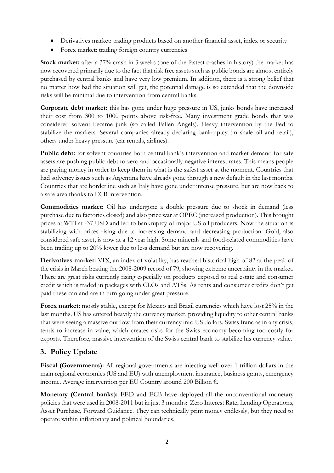- Derivatives market: trading products based on another financial asset, index or security
- Forex market: trading foreign country currencies

**Stock market:** after a 37% crash in 3 weeks (one of the fastest crashes in history) the market has now recovered primarily due to the fact that risk free assets such as public bonds are almost entirely purchased by central banks and have very low premium. In addition, there is a strong belief that no matter how bad the situation will get, the potential damage is so extended that the downside risks will be minimal due to intervention from central banks.

**Corporate debt market:** this has gone under huge pressure in US, junks bonds have increased their cost from 300 to 1000 points above risk-free. Many investment grade bonds that was considered solvent became junk (so called Fallen Angels). Heavy intervention by the Fed to stabilize the markets. Several companies already declaring bankruptcy (in shale oil and retail), others under heavy pressure (car rentals, airlines).

Public debt: for solvent countries both central bank's intervention and market demand for safe assets are pushing public debt to zero and occasionally negative interest rates. This means people are paying money in order to keep them in what is the safest asset at the moment. Countries that had solvency issues such as Argentina have already gone through a new default in the last months. Countries that are borderline such as Italy have gone under intense pressure, but are now back to a safe area thanks to ECB intervention.

**Commodities market:** Oil has undergone a double pressure due to shock in demand (less purchase due to factories closed) and also price war at OPEC (increased production). This brought prices at WTI at -37 USD and led to bankruptcy of major US oil producers. Now the situation is stabilizing with prices rising due to increasing demand and decreasing production. Gold, also considered safe asset, is now at a 12 year high. Some minerals and food-related commodities have been trading up to 20% lower due to less demand but are now recovering.

**Derivatives market:** VIX, an index of volatility, has reached historical high of 82 at the peak of the crisis in March beating the 2008-2009 record of 79, showing extreme uncertainty in the market. There are great risks currently rising especially on products exposed to real estate and consumer credit which is traded in packages with CLOs and ATSs. As rents and consumer credits don't get paid these can and are in turn going under great pressure.

**Forex market:** mostly stable, except for Mexico and Brazil currencies which have lost 25% in the last months. US has entered heavily the currency market, providing liquidity to other central banks that were seeing a massive outflow from their currency into US dollars. Swiss franc as in any crisis, tends to increase in value, which creates risks for the Swiss economy becoming too costly for exports. Therefore, massive intervention of the Swiss central bank to stabilize his currency value.

# **3. Policy Update**

**Fiscal (Governments):** All regional governments are injecting well over 1 trillion dollars in the main regional economies (US and EU) with unemployment insurance, business grants, emergency income. Average intervention per EU Country around 200 Billion €.

**Monetary (Central banks):** FED and ECB have deployed all the unconventional monetary policies that were used in 2008-2011 but in just 3 months: Zero Interest Rate, Lending Operations, Asset Purchase, Forward Guidance. They can technically print money endlessly, but they need to operate within inflationary and political boundaries.